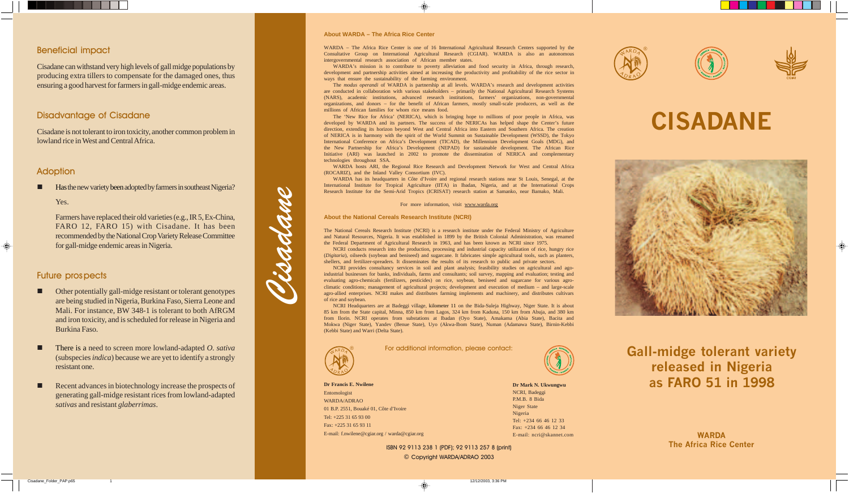# Beneficial impact

Cisadane can withstand very high levels of gall midge populations by producing extra tillers to compensate for the damaged ones, thus ensuring a good harvest for farmers in gall-midge endemic areas.

# Disadvantage of Cisadane

Cisadane is not tolerant to iron toxicity, another common problem in lowland rice in West and Central Africa.

# Adoption

Has the new variety been adopted by farmers in southeast Nigeria?

Yes.

Farmers have replaced their old varieties (e.g., IR 5, Ex-China, FARO 12, FARO 15) with Cisadane. It has been recommended by the National Crop Variety Release Committee for gall-midge endemic areas in Nigeria.

# Future prospects

- Other potentially gall-midge resistant or tolerant genotypes are being studied in Nigeria, Burkina Faso, Sierra Leone and Mali. For instance, BW 348-1 is tolerant to both AfRGM and iron toxicity, and is scheduled for release in Nigeria and Burkina Faso.
- There is a need to screen more lowland-adapted *O. sativa* (subspecies *indica*) because we are yet to identify a strongly resistant one.
- Recent advances in biotechnology increase the prospects of generating gall-midge resistant rices from lowland-adapted *sativas* and resistant *glaberrimas*.



**Dr Mark N. Ukwungwu** NCRI, Badeggi P.M.B. 8 Bida Niger State Nigeria Tel: +234 66 46 12 33 Fax: +234 66 46 12 34 E-mail: ncri@skannet.com

### **Dr Francis E. Nwilene** Entomologist WARDA/ADRAO 01 B.P. 2551, Bouaké 01, Côte d'Ivoire Tel: +225 31 65 93 00 Fax: +225 31 65 93 11 E-mail: f.nwilene@cgiar.org / warda@cgiar.org

For additional information, please contact:

#### **About WARDA – The Africa Rice Center**

WARDA – The Africa Rice Center is one of 16 International Agricultural Research Centers supported by the Consultative Group on International Agricultural Research (CGIAR). WARDA is also an autonomous intergovernmental research association of African member states.

WARDA's mission is to contribute to poverty alleviation and food security in Africa, through research, development and partnership activities aimed at increasing the productivity and profitability of the rice sector in ways that ensure the sustainability of the farming environment.

The *modus operandi* of WARDA is partnership at all levels. WARDA's research and development activities are conducted in collaboration with various stakeholders – primarily the National Agricultural Research Systems (NARS), academic institutions, advanced research institutions, farmers' organizations, non-governmental organizations, and donors – for the benefit of African farmers, mostly small-scale producers, as well as the millions of African families for whom rice means food.

The 'New Rice for Africa' (NERICA), which is bringing hope to millions of poor people in Africa, was developed by WARDA and its partners. The success of the NERICAs has helped shape the Center's future direction, extending its horizon beyond West and Central Africa into Eastern and Southern Africa. The creation of NERICA is in harmony with the spirit of the World Summit on Sustainable Development (WSSD), the Tokyo International Conference on Africa's Development (TICAD), the Millennium Development Goals (MDG), and the New Partnership for Africa's Development (NEPAD) for sustainable development. The African Rice Initiative (ARI) was launched in 2002 to promote the dissemination of NERICA and complementary technologies throughout SSA.

> © Copyright WARDA/ADRAO 2003 ISBN 92 9113 238 1 (PDF); 92 9113 257 8 (print)

WARDA hosts ARI, the Regional Rice Research and Development Network for West and Central Africa (ROCARIZ), and the Inland Valley Consortium (IVC).

WARDA has its headquarters in Côte d'Ivoire and regional research stations near St Louis, Senegal, at the International Institute for Tropical Agriculture (IITA) in Ibadan, Nigeria, and at the International Crops Research Institute for the Semi-Arid Tropics (ICRISAT) research station at Samanko, near Bamako, Mali.

#### For more information, visit www.warda.org

#### **About the National Cereals Research Institute (NCRI)**

The National Cereals Research Institute (NCRI) is a research institute under the Federal Ministry of Agriculture and Natural Resources, Nigeria. It was established in 1899 by the British Colonial Administration, was renamed the Federal Department of Agricultural Research in 1963, and has been known as NCRI since 1975.

NCRI conducts research into the production, processing and industrial capacity utilization of rice, hungry rice (*Digitaria*), oilseeds (soybean and beniseed) and sugarcane. It fabricates simple agricultural tools, such as planters, shellers, and fertilizer-spreaders. It disseminates the results of its research to public and private sectors.

NCRI provides consultancy services in soil and plant analysis; feasibility studies on agricultural and agoindustrial businesses for banks, individuals, farms and consultants; soil survey, mapping and evaluation; testing and evaluating agro-chemicals (fertilizers, pesticides) on rice, soybean, beniseed and sugarcane for various agroclimatic conditions; management of agricultural projects; development and execution of medium – and large-scale agro-allied enterprises. NCRI makes and distributes farming implements and machinery, and distributes cultivars of rice and soybean.

NCRI Headquarters are at Badeggi village, kilometer 11 on the Bida-Suleja Highway, Niger State. It is about 85 km from the State capital, Minna, 850 km from Lagos, 324 km from Kaduna, 150 km from Abuja, and 380 km from Ilorin. NCRI operates from substations at Ibadan (Oyo State), Amakama (Abia State), Bacita and Mokwa (Niger State), Yandev (Benue State), Uyo (Akwa-Ibom State), Numan (Adamawa State), Birnin-Kebbi (Kebbi State) and Warri (Delta State).

> **WARDA The Africa Rice Center**

**Gall-midge tolerant variety released in Nigeria as FARO 51 in 1998**

# **CISADANE**